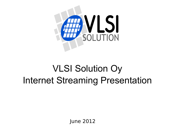

# VLSI Solution Oy Internet Streaming Presentation

June 2012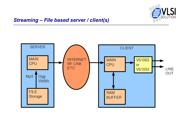

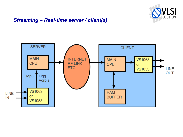

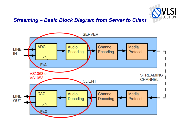

#### *Streaming – Basic Block Diagram from Server to Client*

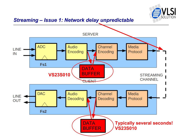

#### *Streaming – Issue 1: Network delay unpredictable*

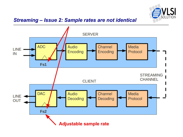

#### *Streaming – Issue 2: Sample rates are not identical*

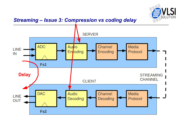

#### *Streaming – Issue 3: Compression vs coding delay*

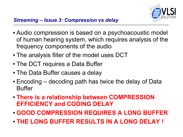

- Audio compression is based on a psychoacoustic model of human hearing system, which requires analysis of the frequency components of the audio
- The analysis filter of the model uses DCT
- The DCT requires a Data Buffer
- The Data Buffer causes a delay
- $\cdot$  Encoding decoding path has twice the delay of Data Buffer
- **There is a relationship between COMPRESSION EFFICIENCY and CODING DELAY**
- **GOOD COMPRESSION REQUIRES A LONG BUFFER**
- **THE LONG BUFFER RESULTS IN A LONG DELAY !**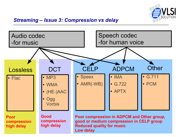

## *Streaming – Issue 3: Compression vs delay*

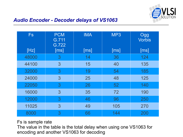

#### *Audio Encoder - Decoder delays of VS1063*

| <b>Fs</b> | <b>PCM</b><br>G.711<br>G.722 | <b>IMA</b> | MP3  | Ogg<br><b>Vorbis</b> |
|-----------|------------------------------|------------|------|----------------------|
| [Hz]      | [ms]                         | [ms]       | [ms] | [ms]                 |
| 48000     | 3                            | 14         | 36   | 124                  |
| 44100     | 3                            | 15         | 40   | 135                  |
| 32000     | 3                            | 19         | 54   | 185                  |
| 24000     | 3                            | 25         | 48   | 125                  |
| 22050     | 3                            | 26         | 52   | 140                  |
| 16000     | 3                            | 35         | 72   | 190                  |
| 12000     | 3                            | 46         | 96   | 250                  |
| 11025     | 3                            | 49         | 105  | 270                  |
| 8000      | 3                            | 66         | 144  | 200                  |

#### Fs is sample rate

The value in the table is the total delay when using one VS1063 for encoding and another VS1063 for decoding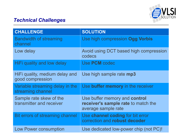

## *Technical Challenges*

| <b>CHALLENGE</b>                                     | <b>SOLUTION</b>                                                                             |
|------------------------------------------------------|---------------------------------------------------------------------------------------------|
| <b>Bandwidth of streaming</b><br>channel             | Use high compression Ogg Vorbis                                                             |
| Low delay                                            | Avoid using DCT based high compression<br>codecs                                            |
| HiFi quality and low delay                           | Use PCM codec                                                                               |
| HiFi quality, medium delay and<br>good compression   | Use high sample rate mp3                                                                    |
| Variable streaming delay in the<br>streaming channel | Use buffer memory in the receiver                                                           |
| Sample rate skew of the<br>transmitter and receiver  | Use buffer memory and control<br>receiver's sample rate to match the<br>average sample rate |
| Bit errors of streaming channel                      | Use channel coding for bit error<br>correction and robust decoder                           |
| <b>Low Power consumption</b>                         | Use dedicated low-power chip (not PC)!                                                      |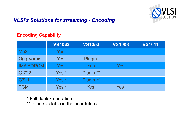

# *VLSI's Solutions for streaming - Encoding*

#### **Encoding Capability**

|                   | <b>VS1063</b>    | <b>VS1053</b>        | <b>VS1003</b> | <b>VS1011</b> |
|-------------------|------------------|----------------------|---------------|---------------|
| Mp3               | Yes              |                      |               |               |
| <b>Ogg Vorbis</b> | Yes              | Plugin               |               |               |
| <b>IMA ADPCM</b>  | Yes              | <b>Yes</b>           | Yes           |               |
| G.722             | Yes <sup>*</sup> | Plugin **            |               |               |
| G711              | Yes *            | Plugin <sup>**</sup> |               |               |
| <b>PCM</b>        | Yes <sup>*</sup> | Yes                  | Yes           |               |

\* Full duplex operation \*\* to be available in the near future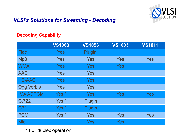

## *VLSI's Solutions for Streaming - Decoding*

#### **Decoding Capability**

|                   | <b>VS1063</b>    | <b>VS1053</b> | <b>VS1003</b> | <b>VS1011</b> |
|-------------------|------------------|---------------|---------------|---------------|
| <b>Flac</b>       | <b>Yes</b>       | Plugin        |               |               |
| Mp3               | Yes              | Yes           | <b>Yes</b>    | Yes           |
| <b>WMA</b>        | <b>Yes</b>       | <b>Yes</b>    | <b>Yes</b>    |               |
| <b>AAC</b>        | <b>Yes</b>       | <b>Yes</b>    |               |               |
| <b>HE-AAC</b>     | <b>Yes</b>       | <b>Yes</b>    |               |               |
| <b>Ogg Vorbis</b> | <b>Yes</b>       | <b>Yes</b>    |               |               |
| <b>IMA ADPCM</b>  | Yes <sup>*</sup> | <b>Yes</b>    | <b>Yes</b>    | <b>Yes</b>    |
| G.722             | Yes <sup>*</sup> | Plugin        |               |               |
| G711              | Yes <sup>*</sup> | Plugin        |               |               |
| <b>PCM</b>        | Yes <sup>*</sup> | <b>Yes</b>    | <b>Yes</b>    | <b>Yes</b>    |
| <b>Midi</b>       |                  | Yes           | <b>Yes</b>    |               |

\* Full duplex operation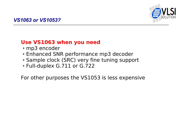

# **Use VS1063 when you need**

- mp3 encoder
- Enhanced SNR performance mp3 decoder
- Sample clock (SRC) very fine tuning support
- Full-duplex G.711 or G.722

For other purposes the VS1053 is less expensive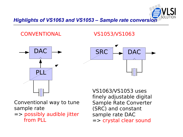

#### *Highlights of VS1063 and VS1053 – Sample rate conversion*

CONVENTIONAL VS1053/VS1063





Conventional way to tune sample rate

=> possibly audible jitter from PLL

VS1063/VS1053 uses finely adjustable digital Sample Rate Converter (SRC) and constant sample rate DAC => crystal clear sound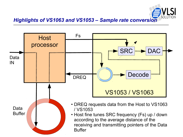

#### *Highlights of VS1063 and VS1053 – Sample rate conversion*

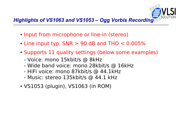

# *Highlights of VS1063 and VS1053 – Ogg Vorbis Recording*

- Input from microphone or line-in (stereo)
- $\cdot$  Line input typ. SNR  $> 90$  dB and THD  $< 0.005\%$
- Supports 11 quality settings (below some examples)
	- Voice: mono 15kbit/s @ 8kHz
	- Wide band voice: mono 28kbit/s @ 16kHz
	- HiFi voice: mono 87kbit/s @ 44.1kHz
	- Music: stereo 135kbit/s @ 44.1 kHz
- VS1053 (plugin), VS1063 (in ROM)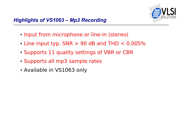

- Input from microphone or line-in (stereo)
- Line input typ.  $SNR > 90$  dB and THD  $< 0.005\%$
- Supports 11 quality settings of VBR or CBR
- Supports all mp3 sample rates
- Available in VS1063 only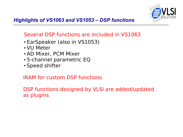

# Several DSP functions are included in VS1063

- EarSpeaker (also in VS1053)
- VU Meter
- AD Mixer, PCM Mixer
- 5-channel parametric EQ
- Speed shifter

## IRAM for custom DSP functions

DSP functions designed by VLSI are added/updated as plugins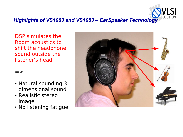

#### *Highlights of VS1063 and VS1053 – EarSpeaker Technology*

DSP simulates the Room acoustics to shift the headphone sound outside the listener's head

#### $\Rightarrow$

- Natural sounding 3 dimensional sound
- Realistic stereo image
- No listening fatigue

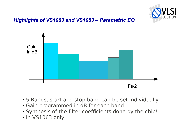



- 5 Bands, start and stop band can be set individually
- Gain programmed in dB for each band
- Synthesis of the filter coefficients done by the chip!
- In VS1063 only